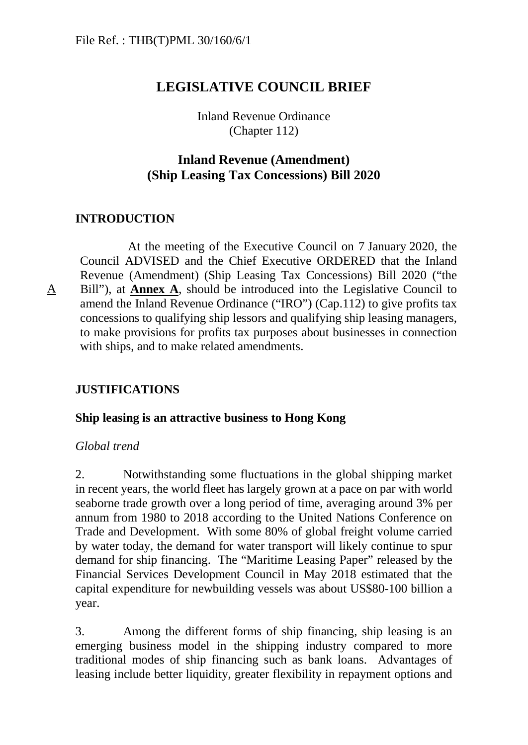# **LEGISLATIVE COUNCIL BRIEF**

Inland Revenue Ordinance (Chapter 112)

## **Inland Revenue (Amendment) (Ship Leasing Tax Concessions) Bill 2020**

## **INTRODUCTION**

A

At the meeting of the Executive Council on 7 January 2020, the Council ADVISED and the Chief Executive ORDERED that the Inland Revenue (Amendment) (Ship Leasing Tax Concessions) Bill 2020 ("the Bill"), at **Annex A**, should be introduced into the Legislative Council to amend the Inland Revenue Ordinance ("IRO") (Cap.112) to give profits tax concessions to qualifying ship lessors and qualifying ship leasing managers, to make provisions for profits tax purposes about businesses in connection with ships, and to make related amendments.

## **JUSTIFICATIONS**

#### **Ship leasing is an attractive business to Hong Kong**

#### *Global trend*

2. Notwithstanding some fluctuations in the global shipping market in recent years, the world fleet has largely grown at a pace on par with world seaborne trade growth over a long period of time, averaging around 3% per annum from 1980 to 2018 according to the United Nations Conference on Trade and Development. With some 80% of global freight volume carried by water today, the demand for water transport will likely continue to spur demand for ship financing. The "Maritime Leasing Paper" released by the Financial Services Development Council in May 2018 estimated that the capital expenditure for newbuilding vessels was about US\$80-100 billion a year.

3. Among the different forms of ship financing, ship leasing is an emerging business model in the shipping industry compared to more traditional modes of ship financing such as bank loans. Advantages of leasing include better liquidity, greater flexibility in repayment options and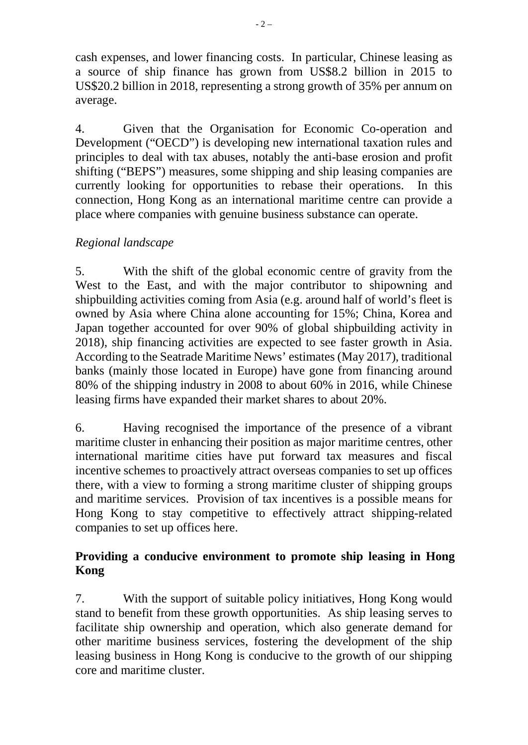cash expenses, and lower financing costs. In particular, Chinese leasing as a source of ship finance has grown from US\$8.2 billion in 2015 to US\$20.2 billion in 2018, representing a strong growth of 35% per annum on average.

4. Given that the Organisation for Economic Co-operation and Development ("OECD") is developing new international taxation rules and principles to deal with tax abuses, notably the anti-base erosion and profit shifting ("BEPS") measures, some shipping and ship leasing companies are currently looking for opportunities to rebase their operations. In this connection, Hong Kong as an international maritime centre can provide a place where companies with genuine business substance can operate.

# *Regional landscape*

5. With the shift of the global economic centre of gravity from the West to the East, and with the major contributor to shipowning and shipbuilding activities coming from Asia (e.g. around half of world's fleet is owned by Asia where China alone accounting for 15%; China, Korea and Japan together accounted for over 90% of global shipbuilding activity in 2018), ship financing activities are expected to see faster growth in Asia. According to the Seatrade Maritime News' estimates (May 2017), traditional banks (mainly those located in Europe) have gone from financing around 80% of the shipping industry in 2008 to about 60% in 2016, while Chinese leasing firms have expanded their market shares to about 20%.

6. Having recognised the importance of the presence of a vibrant maritime cluster in enhancing their position as major maritime centres, other international maritime cities have put forward tax measures and fiscal incentive schemes to proactively attract overseas companies to set up offices there, with a view to forming a strong maritime cluster of shipping groups and maritime services. Provision of tax incentives is a possible means for Hong Kong to stay competitive to effectively attract shipping-related companies to set up offices here.

## **Providing a conducive environment to promote ship leasing in Hong Kong**

7. With the support of suitable policy initiatives, Hong Kong would stand to benefit from these growth opportunities. As ship leasing serves to facilitate ship ownership and operation, which also generate demand for other maritime business services, fostering the development of the ship leasing business in Hong Kong is conducive to the growth of our shipping core and maritime cluster.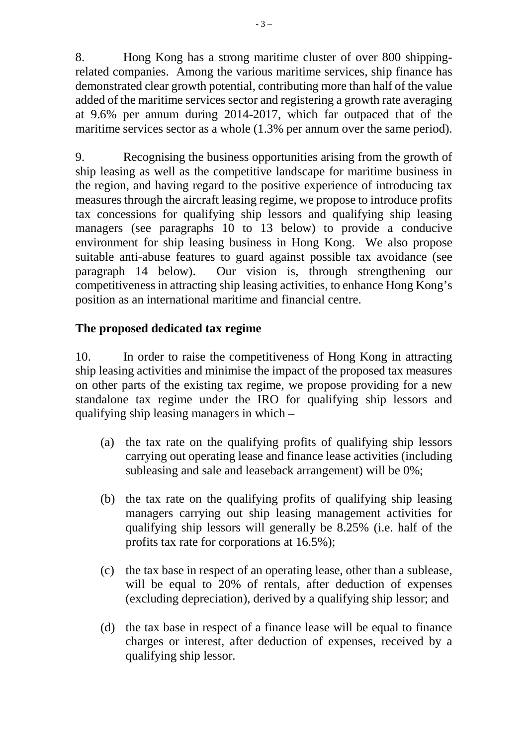8. Hong Kong has a strong maritime cluster of over 800 shippingrelated companies. Among the various maritime services, ship finance has demonstrated clear growth potential, contributing more than half of the value added of the maritime services sector and registering a growth rate averaging at 9.6% per annum during 2014-2017, which far outpaced that of the maritime services sector as a whole (1.3% per annum over the same period).

9. Recognising the business opportunities arising from the growth of ship leasing as well as the competitive landscape for maritime business in the region, and having regard to the positive experience of introducing tax measures through the aircraft leasing regime, we propose to introduce profits tax concessions for qualifying ship lessors and qualifying ship leasing managers (see paragraphs 10 to 13 below) to provide a conducive environment for ship leasing business in Hong Kong. We also propose suitable anti-abuse features to guard against possible tax avoidance (see paragraph 14 below). Our vision is, through strengthening our competitiveness in attracting ship leasing activities, to enhance Hong Kong's position as an international maritime and financial centre.

## **The proposed dedicated tax regime**

10. In order to raise the competitiveness of Hong Kong in attracting ship leasing activities and minimise the impact of the proposed tax measures on other parts of the existing tax regime, we propose providing for a new standalone tax regime under the IRO for qualifying ship lessors and qualifying ship leasing managers in which –

- (a) the tax rate on the qualifying profits of qualifying ship lessors carrying out operating lease and finance lease activities (including subleasing and sale and leaseback arrangement) will be 0%;
- (b) the tax rate on the qualifying profits of qualifying ship leasing managers carrying out ship leasing management activities for qualifying ship lessors will generally be 8.25% (i.e. half of the profits tax rate for corporations at 16.5%);
- (c) the tax base in respect of an operating lease, other than a sublease, will be equal to 20% of rentals, after deduction of expenses (excluding depreciation), derived by a qualifying ship lessor; and
- (d) the tax base in respect of a finance lease will be equal to finance charges or interest, after deduction of expenses, received by a qualifying ship lessor.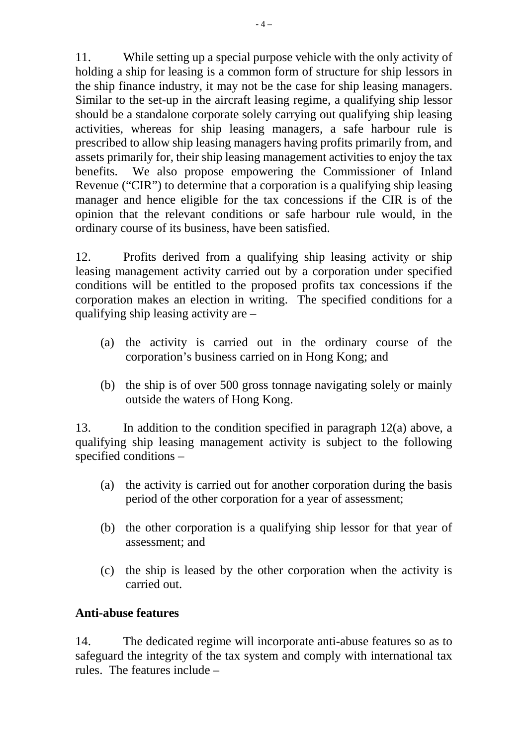11. While setting up a special purpose vehicle with the only activity of holding a ship for leasing is a common form of structure for ship lessors in the ship finance industry, it may not be the case for ship leasing managers. Similar to the set-up in the aircraft leasing regime, a qualifying ship lessor should be a standalone corporate solely carrying out qualifying ship leasing activities, whereas for ship leasing managers, a safe harbour rule is prescribed to allow ship leasing managers having profits primarily from, and assets primarily for, their ship leasing management activities to enjoy the tax benefits. We also propose empowering the Commissioner of Inland Revenue ("CIR") to determine that a corporation is a qualifying ship leasing manager and hence eligible for the tax concessions if the CIR is of the opinion that the relevant conditions or safe harbour rule would, in the ordinary course of its business, have been satisfied.

12. Profits derived from a qualifying ship leasing activity or ship leasing management activity carried out by a corporation under specified conditions will be entitled to the proposed profits tax concessions if the corporation makes an election in writing. The specified conditions for a qualifying ship leasing activity are –

- (a) the activity is carried out in the ordinary course of the corporation's business carried on in Hong Kong; and
- (b) the ship is of over 500 gross tonnage navigating solely or mainly outside the waters of Hong Kong.

13. In addition to the condition specified in paragraph 12(a) above, a qualifying ship leasing management activity is subject to the following specified conditions –

- (a) the activity is carried out for another corporation during the basis period of the other corporation for a year of assessment;
- (b) the other corporation is a qualifying ship lessor for that year of assessment; and
- (c) the ship is leased by the other corporation when the activity is carried out.

### **Anti-abuse features**

14. The dedicated regime will incorporate anti-abuse features so as to safeguard the integrity of the tax system and comply with international tax rules. The features include –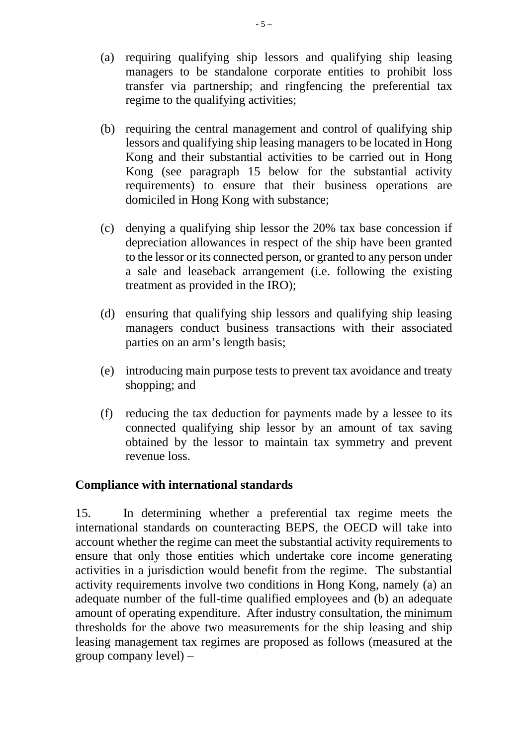- (a) requiring qualifying ship lessors and qualifying ship leasing managers to be standalone corporate entities to prohibit loss transfer via partnership; and ringfencing the preferential tax regime to the qualifying activities;
- (b) requiring the central management and control of qualifying ship lessors and qualifying ship leasing managers to be located in Hong Kong and their substantial activities to be carried out in Hong Kong (see paragraph 15 below for the substantial activity requirements) to ensure that their business operations are domiciled in Hong Kong with substance;
- (c) denying a qualifying ship lessor the 20% tax base concession if depreciation allowances in respect of the ship have been granted to the lessor or its connected person, or granted to any person under a sale and leaseback arrangement (i.e. following the existing treatment as provided in the IRO);
- (d) ensuring that qualifying ship lessors and qualifying ship leasing managers conduct business transactions with their associated parties on an arm's length basis;
- (e) introducing main purpose tests to prevent tax avoidance and treaty shopping; and
- (f) reducing the tax deduction for payments made by a lessee to its connected qualifying ship lessor by an amount of tax saving obtained by the lessor to maintain tax symmetry and prevent revenue loss.

### **Compliance with international standards**

15. In determining whether a preferential tax regime meets the international standards on counteracting BEPS, the OECD will take into account whether the regime can meet the substantial activity requirements to ensure that only those entities which undertake core income generating activities in a jurisdiction would benefit from the regime. The substantial activity requirements involve two conditions in Hong Kong, namely (a) an adequate number of the full-time qualified employees and (b) an adequate amount of operating expenditure. After industry consultation, the minimum thresholds for the above two measurements for the ship leasing and ship leasing management tax regimes are proposed as follows (measured at the group company level) –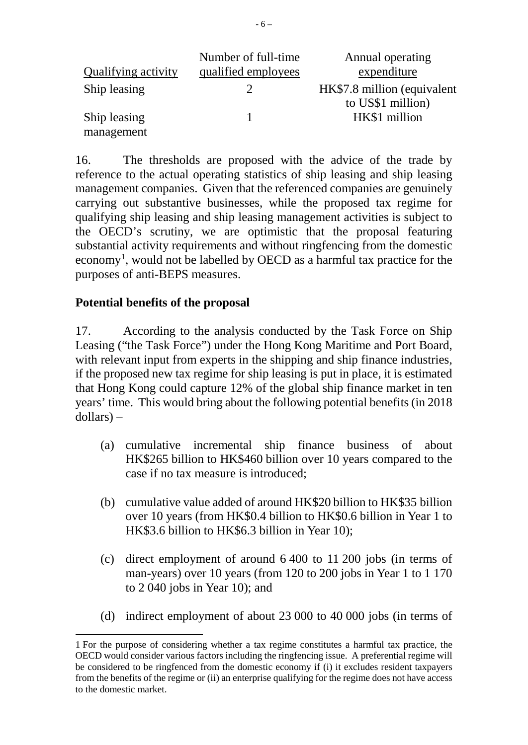|                            | Number of full-time | Annual operating                                 |
|----------------------------|---------------------|--------------------------------------------------|
| <b>Qualifying activity</b> | qualified employees | expenditure                                      |
| Ship leasing               |                     | HK\$7.8 million (equivalent<br>to US\$1 million) |
| Ship leasing               |                     | HK\$1 million                                    |
| management                 |                     |                                                  |

16. The thresholds are proposed with the advice of the trade by reference to the actual operating statistics of ship leasing and ship leasing management companies. Given that the referenced companies are genuinely carrying out substantive businesses, while the proposed tax regime for qualifying ship leasing and ship leasing management activities is subject to the OECD's scrutiny, we are optimistic that the proposal featuring substantial activity requirements and without ringfencing from the domestic economy<sup>[1](#page-5-0)</sup>, would not be labelled by OECD as a harmful tax practice for the purposes of anti-BEPS measures.

## **Potential benefits of the proposal**

17. According to the analysis conducted by the Task Force on Ship Leasing ("the Task Force") under the Hong Kong Maritime and Port Board, with relevant input from experts in the shipping and ship finance industries, if the proposed new tax regime for ship leasing is put in place, it is estimated that Hong Kong could capture 12% of the global ship finance market in ten years' time. This would bring about the following potential benefits (in 2018 dollars) –

- (a) cumulative incremental ship finance business of about HK\$265 billion to HK\$460 billion over 10 years compared to the case if no tax measure is introduced;
- (b) cumulative value added of around HK\$20 billion to HK\$35 billion over 10 years (from HK\$0.4 billion to HK\$0.6 billion in Year 1 to HK\$3.6 billion to HK\$6.3 billion in Year 10);
- (c) direct employment of around 6 400 to 11 200 jobs (in terms of man-years) over 10 years (from 120 to 200 jobs in Year 1 to 1 170 to 2 040 jobs in Year 10); and
- (d) indirect employment of about 23 000 to 40 000 jobs (in terms of

<span id="page-5-0"></span>j 1 For the purpose of considering whether a tax regime constitutes a harmful tax practice, the OECD would consider various factors including the ringfencing issue. A preferential regime will be considered to be ringfenced from the domestic economy if (i) it excludes resident taxpayers from the benefits of the regime or (ii) an enterprise qualifying for the regime does not have access to the domestic market.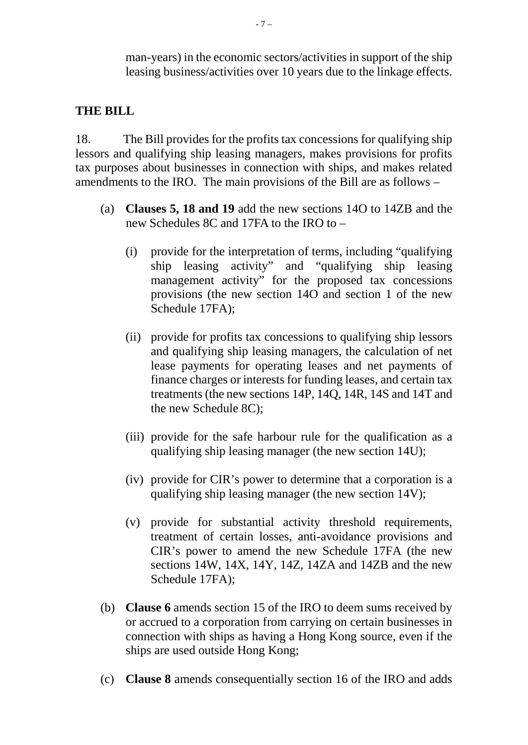man-years) in the economic sectors/activities in support of the ship leasing business/activities over 10 years due to the linkage effects.

## **THE BILL**

18. The Bill provides for the profits tax concessions for qualifying ship lessors and qualifying ship leasing managers, makes provisions for profits tax purposes about businesses in connection with ships, and makes related amendments to the IRO. The main provisions of the Bill are as follows –

- (a) **Clauses 5, 18 and 19** add the new sections 14O to 14ZB and the new Schedules 8C and 17FA to the IRO to –
	- (i) provide for the interpretation of terms, including "qualifying ship leasing activity" and "qualifying ship leasing management activity" for the proposed tax concessions provisions (the new section 14O and section 1 of the new Schedule 17FA);
	- (ii) provide for profits tax concessions to qualifying ship lessors and qualifying ship leasing managers, the calculation of net lease payments for operating leases and net payments of finance charges or interests for funding leases, and certain tax treatments (the new sections 14P, 14Q, 14R, 14S and 14T and the new Schedule 8C);
	- (iii) provide for the safe harbour rule for the qualification as a qualifying ship leasing manager (the new section 14U);
	- (iv) provide for CIR's power to determine that a corporation is a qualifying ship leasing manager (the new section 14V);
	- (v) provide for substantial activity threshold requirements, treatment of certain losses, anti-avoidance provisions and CIR's power to amend the new Schedule 17FA (the new sections 14W, 14X, 14Y, 14Z, 14ZA and 14ZB and the new Schedule 17FA);
- (b) **Clause 6** amends section 15 of the IRO to deem sums received by or accrued to a corporation from carrying on certain businesses in connection with ships as having a Hong Kong source, even if the ships are used outside Hong Kong;
- (c) **Clause 8** amends consequentially section 16 of the IRO and adds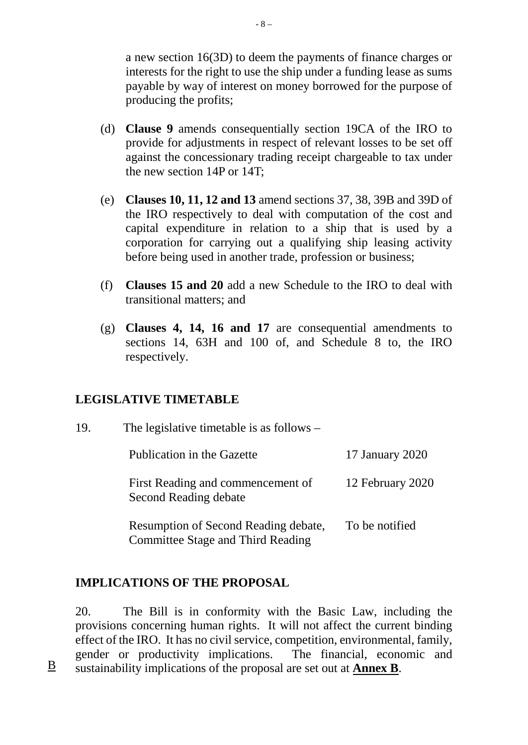a new section 16(3D) to deem the payments of finance charges or interests for the right to use the ship under a funding lease as sums payable by way of interest on money borrowed for the purpose of producing the profits;

- (d) **Clause 9** amends consequentially section 19CA of the IRO to provide for adjustments in respect of relevant losses to be set off against the concessionary trading receipt chargeable to tax under the new section 14P or 14T;
- (e) **Clauses 10, 11, 12 and 13** amend sections 37, 38, 39B and 39D of the IRO respectively to deal with computation of the cost and capital expenditure in relation to a ship that is used by a corporation for carrying out a qualifying ship leasing activity before being used in another trade, profession or business;
- (f) **Clauses 15 and 20** add a new Schedule to the IRO to deal with transitional matters; and
- (g) **Clauses 4, 14, 16 and 17** are consequential amendments to sections 14, 63H and 100 of, and Schedule 8 to, the IRO respectively.

### **LEGISLATIVE TIMETABLE**

| 19. | The legislative timetable is as follows $-$                               |                  |  |  |
|-----|---------------------------------------------------------------------------|------------------|--|--|
|     | Publication in the Gazette                                                | 17 January 2020  |  |  |
|     | First Reading and commencement of<br>Second Reading debate                | 12 February 2020 |  |  |
|     | Resumption of Second Reading debate,<br>Committee Stage and Third Reading | To be notified   |  |  |

## **IMPLICATIONS OF THE PROPOSAL**

20. The Bill is in conformity with the Basic Law, including the provisions concerning human rights. It will not affect the current binding effect of the IRO. It has no civil service, competition, environmental, family, gender or productivity implications. The financial, economic and B sustainability implications of the proposal are set out at **Annex B**.